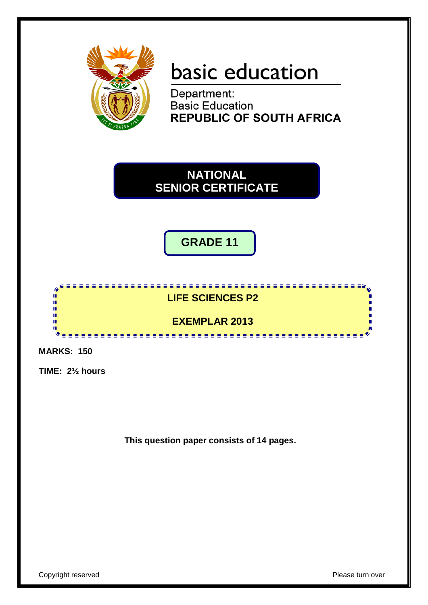

# basic education

Department: **Basic Education REPUBLIC OF SOUTH AFRICA** 



**GRADE 11**



**MARKS: 150**

**TIME: 2½ hours**

**This question paper consists of 14 pages.**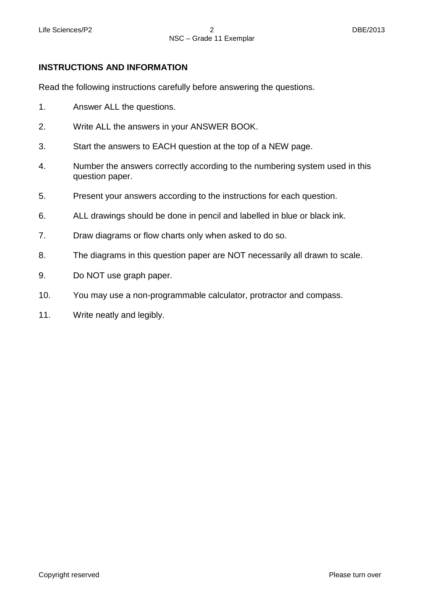# **INSTRUCTIONS AND INFORMATION**

Read the following instructions carefully before answering the questions.

- 1. Answer ALL the questions.
- 2. Write ALL the answers in your ANSWER BOOK.
- 3. Start the answers to EACH question at the top of a NEW page.
- 4. Number the answers correctly according to the numbering system used in this question paper.
- 5. Present your answers according to the instructions for each question.
- 6. ALL drawings should be done in pencil and labelled in blue or black ink.
- 7. Draw diagrams or flow charts only when asked to do so.
- 8. The diagrams in this question paper are NOT necessarily all drawn to scale.
- 9. Do NOT use graph paper.
- 10. You may use a non-programmable calculator, protractor and compass.
- 11. Write neatly and legibly.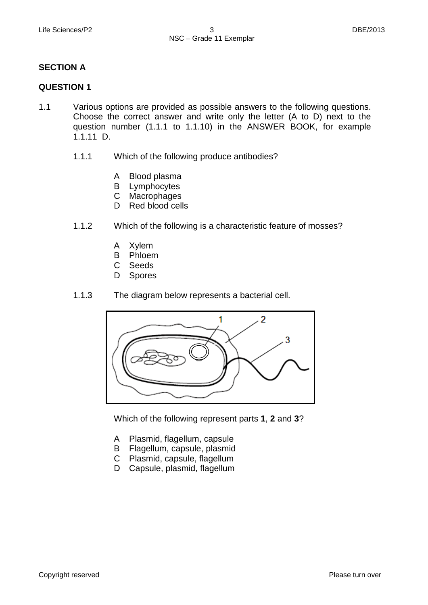# **SECTION A**

# **QUESTION 1**

- 1.1 Various options are provided as possible answers to the following questions. Choose the correct answer and write only the letter (A to D) next to the question number (1.1.1 to 1.1.10) in the ANSWER BOOK, for example 1.1.11 D.
	- 1.1.1 Which of the following produce antibodies?
		- A Blood plasma
		- B Lymphocytes
		- $\mathsf{C}^-$ Macrophages
		- D Red blood cells
	- 1.1.2 Which of the following is a characteristic feature of mosses?
		- A Xylem
		- B Phloem
		- $\mathbf{C}$ Seeds
		- D Spores
	- 1.1.3 The diagram below represents a bacterial cell.



Which of the following represent parts **1**, **2** and **3**?

- A Plasmid, flagellum, capsule
- B Flagellum, capsule, plasmid
- C Plasmid, capsule, flagellum
- D Capsule, plasmid, flagellum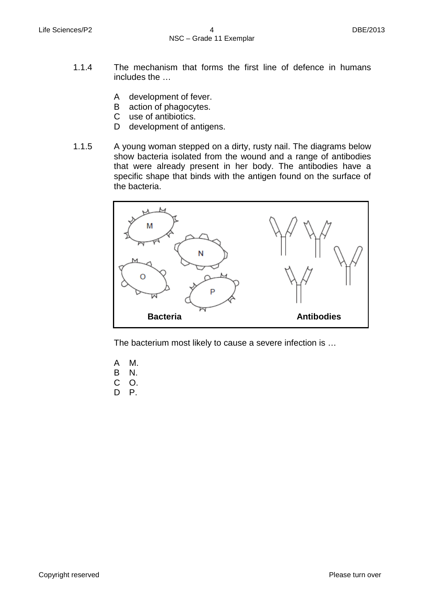- 1.1.4 The mechanism that forms the first line of defence in humans includes the …
	- A development of fever.
	- B action of phagocytes.
	- $\mathsf{C}$ use of antibiotics.
	- D development of antigens.
- 1.1.5 A young woman stepped on a dirty, rusty nail. The diagrams below show bacteria isolated from the wound and a range of antibodies that were already present in her body. The antibodies have a specific shape that binds with the antigen found on the surface of the bacteria.



The bacterium most likely to cause a severe infection is …

- A M.
- B N.
- C O.
- D P.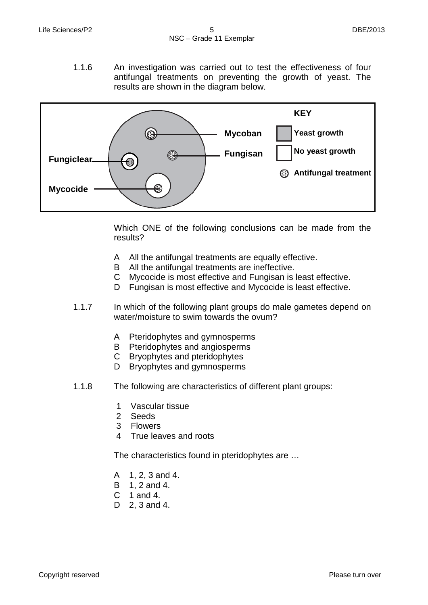1.1.6 An investigation was carried out to test the effectiveness of four antifungal treatments on preventing the growth of yeast. The results are shown in the diagram below.



Which ONE of the following conclusions can be made from the results?

- A All the antifungal treatments are equally effective.
- B All the antifungal treatments are ineffective.
- C Mycocide is most effective and Fungisan is least effective.
- D Fungisan is most effective and Mycocide is least effective.
- 1.1.7 In which of the following plant groups do male gametes depend on water/moisture to swim towards the ovum?
	- A Pteridophytes and gymnosperms
	- B Pteridophytes and angiosperms
	- $\mathsf{C}$ Bryophytes and pteridophytes
	- D Bryophytes and gymnosperms
- 1.1.8 The following are characteristics of different plant groups:
	- 1 Vascular tissue
	- 2 Seeds
	- 3 Flowers
	- 4 True leaves and roots

The characteristics found in pteridophytes are …

- A 1, 2, 3 and 4.
- B 1, 2 and 4.
- C 1 and 4.
- D 2, 3 and 4.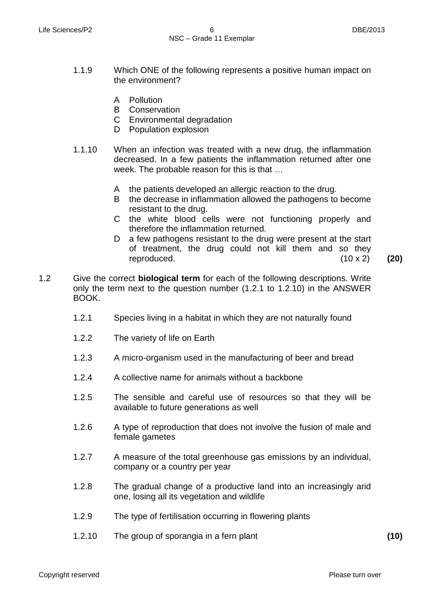- 1.1.9 Which ONE of the following represents a positive human impact on the environment?
	- A Pollution
	- B Conservation
	- C Environmental degradation
	- D Population explosion
- 1.1.10 When an infection was treated with a new drug, the inflammation decreased. In a few patients the inflammation returned after one week. The probable reason for this is that …
	- A the patients developed an allergic reaction to the drug.
	- B the decrease in inflammation allowed the pathogens to become resistant to the drug.
	- C the white blood cells were not functioning properly and therefore the inflammation returned.
	- D a few pathogens resistant to the drug were present at the start of treatment, the drug could not kill them and so they reproduced. (10 x 2) **(20)**
- 1.2 Give the correct **biological term** for each of the following descriptions. Write only the term next to the question number (1.2.1 to 1.2.10) in the ANSWER BOOK.
	- 1.2.1 Species living in a habitat in which they are not naturally found
	- 1.2.2 The variety of life on Earth
	- 1.2.3 A micro-organism used in the manufacturing of beer and bread
	- 1.2.4 A collective name for animals without a backbone
	- 1.2.5 The sensible and careful use of resources so that they will be available to future generations as well
	- 1.2.6 A type of reproduction that does not involve the fusion of male and female gametes
	- 1.2.7 A measure of the total greenhouse gas emissions by an individual, company or a country per year
	- 1.2.8 The gradual change of a productive land into an increasingly arid one, losing all its vegetation and wildlife
	- 1.2.9 The type of fertilisation occurring in flowering plants
	- 1.2.10 The group of sporangia in a fern plant **(10)**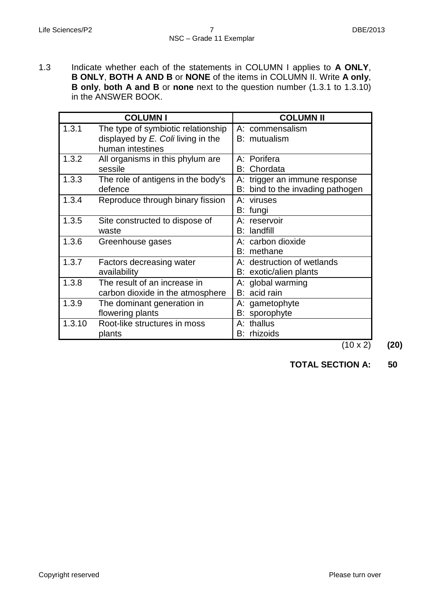1.3 Indicate whether each of the statements in COLUMN I applies to **A ONLY**, **B ONLY**, **BOTH A AND B** or **NONE** of the items in COLUMN II. Write **A only**, **B only**, **both A and B** or **none** next to the question number (1.3.1 to 1.3.10) in the ANSWER BOOK.

|        | <b>COLUMN I</b>                                                                                 | <b>COLUMN II</b>                                                  |
|--------|-------------------------------------------------------------------------------------------------|-------------------------------------------------------------------|
| 1.3.1  | The type of symbiotic relationship<br>displayed by $E$ . Coli living in the<br>human intestines | A: commensalism<br>B: mutualism                                   |
| 1.3.2  | All organisms in this phylum are<br>sessile                                                     | A: Porifera<br>Chordata<br>B:                                     |
| 1.3.3  | The role of antigens in the body's<br>defence                                                   | A: trigger an immune response<br>B: bind to the invading pathogen |
| 1.3.4  | Reproduce through binary fission                                                                | A: viruses<br>B: fungi                                            |
| 1.3.5  | Site constructed to dispose of<br>waste                                                         | A: reservoir<br><b>B</b> : landfill                               |
| 1.3.6  | Greenhouse gases                                                                                | A: carbon dioxide<br>B: methane                                   |
| 1.3.7  | Factors decreasing water<br>availability                                                        | A: destruction of wetlands<br>B: exotic/alien plants              |
| 1.3.8  | The result of an increase in<br>carbon dioxide in the atmosphere                                | A: global warming<br>B: acid rain                                 |
| 1.3.9  | The dominant generation in<br>flowering plants                                                  | A: gametophyte<br>B: sporophyte                                   |
| 1.3.10 | Root-like structures in moss<br>plants                                                          | A: thallus<br>B: rhizoids                                         |

 $\overline{(10 \times 2)}$  (20)

**TOTAL SECTION A: 50**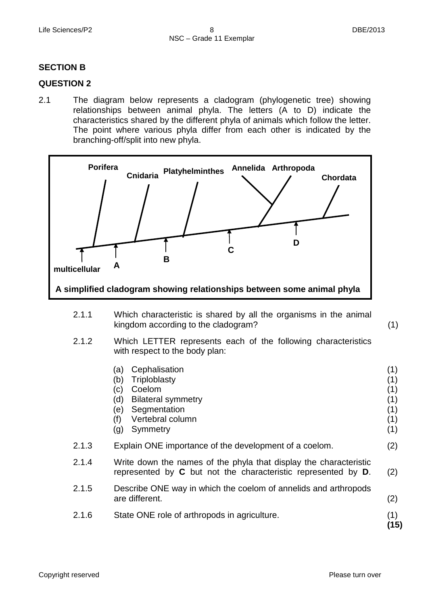(1)

## **SECTION B**

#### **QUESTION 2**

2.1 The diagram below represents a cladogram (phylogenetic tree) showing relationships between animal phyla. The letters (A to D) indicate the characteristics shared by the different phyla of animals which follow the letter. The point where various phyla differ from each other is indicated by the branching-off/split into new phyla.



- 2.1.1 Which characteristic is shared by all the organisms in the animal kingdom according to the cladogram?
- 2.1.2 Which LETTER represents each of the following characteristics with respect to the body plan:
- (a) Cephalisation (b) Triploblasty (c) Coelom (d) Bilateral symmetry (e) Segmentation (f) (g) Symmetry Vertebral column (1) (1) (1) (1) (1) (1) (1) 2.1.3 2.1.4 2.1.5 2.1.6 Explain ONE importance of the development of a coelom. Write down the names of the phyla that display the characteristic represented by **C** but not the characteristic represented by **D**. Describe ONE way in which the coelom of annelids and arthropods are different. State ONE role of arthropods in agriculture. (2) (2) (2) (1) **(15)**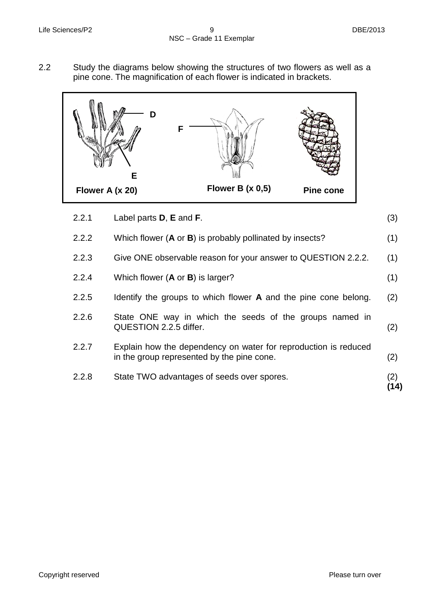2.2 Study the diagrams below showing the structures of two flowers as well as a pine cone. The magnification of each flower is indicated in brackets.



| 2.2.1 | Label parts $D$ , $E$ and $F$ .                                                                               | (3)         |
|-------|---------------------------------------------------------------------------------------------------------------|-------------|
| 2.2.2 | Which flower $(A \text{ or } B)$ is probably pollinated by insects?                                           | (1)         |
| 2.2.3 | Give ONE observable reason for your answer to QUESTION 2.2.2.                                                 | (1)         |
| 2.2.4 | Which flower $(A \text{ or } B)$ is larger?                                                                   | (1)         |
| 2.2.5 | Identify the groups to which flower A and the pine cone belong.                                               | (2)         |
| 2.2.6 | State ONE way in which the seeds of the groups named in<br>QUESTION 2.2.5 differ.                             | (2)         |
| 2.2.7 | Explain how the dependency on water for reproduction is reduced<br>in the group represented by the pine cone. | (2)         |
| 2.2.8 | State TWO advantages of seeds over spores.                                                                    | (2)<br>(14) |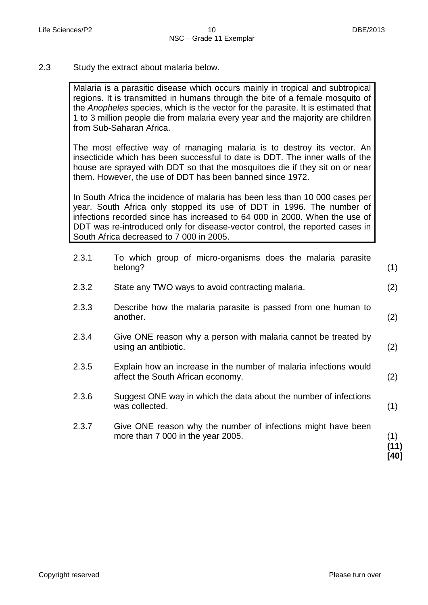2.3 Study the extract about malaria below.

Malaria is a parasitic disease which occurs mainly in tropical and subtropical regions. It is transmitted in humans through the bite of a female mosquito of the *Anopheles* species, which is the vector for the parasite. It is estimated that 1 to 3 million people die from malaria every year and the majority are children from Sub-Saharan Africa.

The most effective way of managing malaria is to destroy its vector. An insecticide which has been successful to date is DDT. The inner walls of the house are sprayed with DDT so that the mosquitoes die if they sit on or near them. However, the use of DDT has been banned since 1972.

In South Africa the incidence of malaria has been less than 10 000 cases per year. South Africa only stopped its use of DDT in 1996. The number of infections recorded since has increased to 64 000 in 2000. When the use of DDT was re-introduced only for disease-vector control, the reported cases in South Africa decreased to 7 000 in 2005.

| 2.3.1 | To which group of micro-organisms does the malaria parasite<br>belong?                                 | (1)                 |
|-------|--------------------------------------------------------------------------------------------------------|---------------------|
| 2.3.2 | State any TWO ways to avoid contracting malaria.                                                       | (2)                 |
| 2.3.3 | Describe how the malaria parasite is passed from one human to<br>another.                              | (2)                 |
| 2.3.4 | Give ONE reason why a person with malaria cannot be treated by<br>using an antibiotic.                 | (2)                 |
| 2.3.5 | Explain how an increase in the number of malaria infections would<br>affect the South African economy. | (2)                 |
| 2.3.6 | Suggest ONE way in which the data about the number of infections<br>was collected.                     | (1)                 |
| 2.3.7 | Give ONE reason why the number of infections might have been<br>more than 7 000 in the year 2005.      | (1)<br>(11)<br>[40] |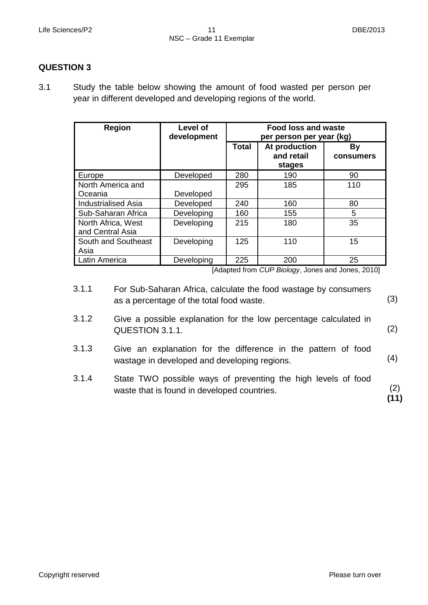# **QUESTION 3**

3.1 Study the table below showing the amount of food wasted per person per year in different developed and developing regions of the world.

| <b>Region</b>               | Level of<br>development | <b>Food loss and waste</b><br>per person per year (kg) |                                       |                 |
|-----------------------------|-------------------------|--------------------------------------------------------|---------------------------------------|-----------------|
|                             |                         | <b>Total</b>                                           | At production<br>and retail<br>stages | By<br>consumers |
| Europe                      | Developed               | 280                                                    | 190                                   | 90              |
| North America and           |                         | 295                                                    | 185                                   | 110             |
| Oceania                     | Developed               |                                                        |                                       |                 |
| <b>Industrialised Asia</b>  | Developed               | 240                                                    | 160                                   | 80              |
| Sub-Saharan Africa          | Developing              | 160                                                    | 155                                   | 5               |
| North Africa, West          | Developing              | 215                                                    | 180                                   | 35              |
| and Central Asia            |                         |                                                        |                                       |                 |
| South and Southeast<br>Asia | Developing              | 125                                                    | 110                                   | 15              |
| Latin America               | Developing              | 225                                                    | 200                                   | 25              |

[Adapted from *CUP Biology*, Jones and Jones, 2010]

- 3.1.1 For Sub-Saharan Africa, calculate the food wastage by consumers as a percentage of the total food waste. (3)
- 3.1.2 Give a possible explanation for the low percentage calculated in QUESTION 3.1.1. (2)
- 3.1.3 Give an explanation for the difference in the pattern of food wastage in developed and developing regions.
- 3.1.4 State TWO possible ways of preventing the high levels of food waste that is found in developed countries. (2) **(11)**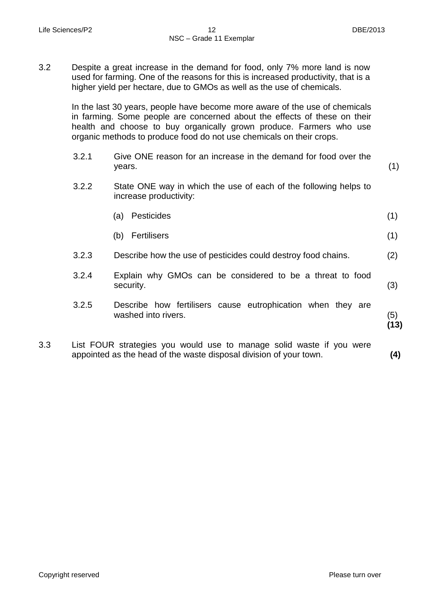3.2 Despite a great increase in the demand for food, only 7% more land is now used for farming. One of the reasons for this is increased productivity, that is a higher yield per hectare, due to GMOs as well as the use of chemicals.

In the last 30 years, people have become more aware of the use of chemicals in farming. Some people are concerned about the effects of these on their health and choose to buy organically grown produce. Farmers who use organic methods to produce food do not use chemicals on their crops.

|     | 3.2.1 | Give ONE reason for an increase in the demand for food over the<br>years.                                                                  | (1)         |
|-----|-------|--------------------------------------------------------------------------------------------------------------------------------------------|-------------|
|     | 3.2.2 | State ONE way in which the use of each of the following helps to<br>increase productivity:                                                 |             |
|     |       | <b>Pesticides</b><br>(a)                                                                                                                   | (1)         |
|     |       | <b>Fertilisers</b><br>(b)                                                                                                                  | (1)         |
|     | 3.2.3 | Describe how the use of pesticides could destroy food chains.                                                                              | (2)         |
|     | 3.2.4 | Explain why GMOs can be considered to be a threat to food<br>security.                                                                     | (3)         |
|     | 3.2.5 | Describe how fertilisers cause eutrophication when they are<br>washed into rivers.                                                         | (5)<br>(13) |
| 3.3 |       | List FOUR strategies you would use to manage solid waste if you were<br>appointed as the head of the waste disposal division of your town. | (4)         |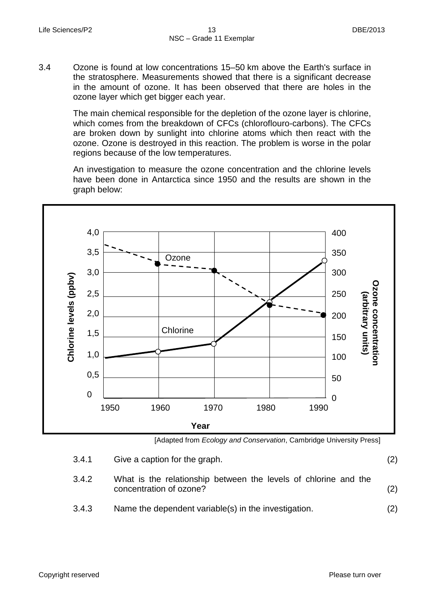3.4 Ozone is found at low concentrations 15–50 km above the Earth's surface in the stratosphere. Measurements showed that there is a significant decrease in the amount of ozone. It has been observed that there are holes in the ozone layer which get bigger each year.

> The main chemical responsible for the depletion of the ozone layer is chlorine, which comes from the breakdown of CFCs (chloroflouro-carbons). The CFCs are broken down by sunlight into chlorine atoms which then react with the ozone. Ozone is destroyed in this reaction. The problem is worse in the polar regions because of the low temperatures.

> An investigation to measure the ozone concentration and the chlorine levels have been done in Antarctica since 1950 and the results are shown in the graph below:



[Adapted from *Ecology and Conservation*, Cambridge University Press]

| 3.4.1 | Give a caption for the graph.                                                              | (2) |
|-------|--------------------------------------------------------------------------------------------|-----|
| 3.4.2 | What is the relationship between the levels of chlorine and the<br>concentration of ozone? | (2) |
| 3.4.3 | Name the dependent variable(s) in the investigation.                                       | (2) |